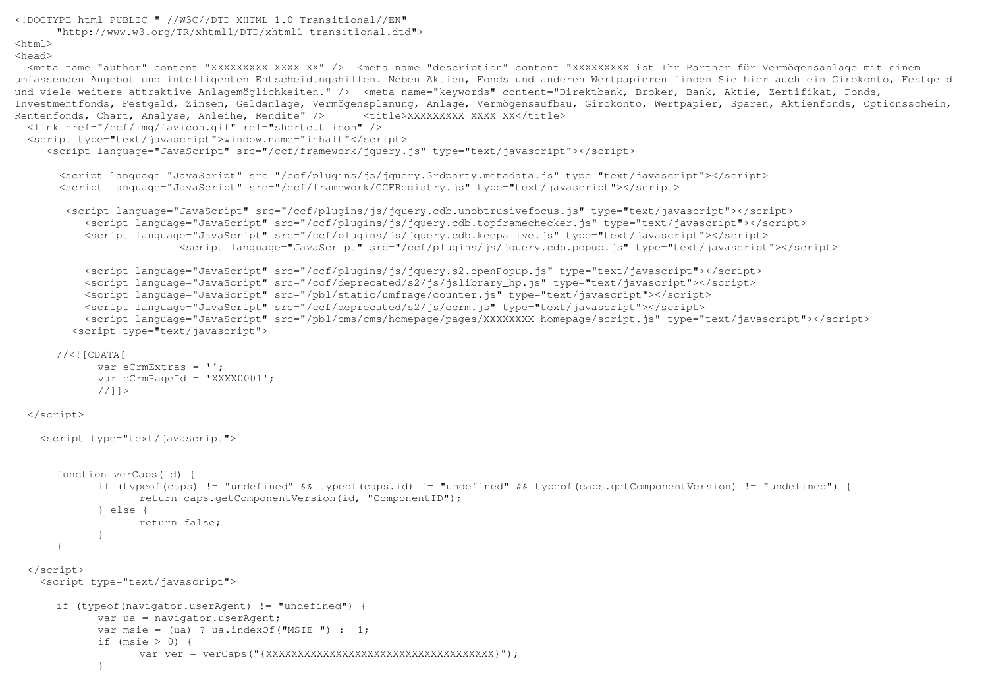```
<!DOCTYPE html PUBLIC "-//W3C//DTD XHTML 1.0 Transitional//EN" 
 "http://www.w3.org/TR/xhtml1/DTD/xhtml1-transitional.dtd"> <html> 
<head> 
 <meta name="author" content="XXXXXXXXX XXXX XX" /> <meta name="description" content="XXXXXXXXX ist Ihr Partner für Vermögensanlage mit einem 
umfassenden Angebot und intelligenten Entscheidungshilfen. Neben Aktien, Fonds und anderen Wertpapieren finden Sie hier auch ein Girokonto, Festgeld und viele weitere attraktive Anlagemöglichkeiten." /> <meta name="keywords" content="Direktbank, Broker, Bank, Aktie, Zertifikat, Fonds,

Investmentfonds, Festgeld, Zinsen, Geldanlage, Vermögensplanung, Anlage, Vermögensaufbau, Girokonto, Wertpapier, Sparen, Aktienfonds, Optionsschein, Rentenfonds, Chart, Analyse, Anleihe, Rendite" /> <title>XXXXXXXXX XXXX XX</title>
  <link href="/ccf/img/favicon.gif" rel="shortcut icon" /> 
 <script type="text/javascript">window.name="inhalt"</script> 
 <script language="JavaScript" src="/ccf/framework/jquery.js" type="text/javascript"></script>  <script language="JavaScript" src="/ccf/plugins/js/jquery.3rdparty.metadata.js" type="text/javascript"></script>  <script language="JavaScript" src="/ccf/framework/CCFRegistry.js" type="text/javascript"></script>  <script language="JavaScript" src="/ccf/plugins/js/jquery.cdb.unobtrusivefocus.js" type="text/javascript"></script> 
 <script language="JavaScript" src="/ccf/plugins/js/jquery.cdb.topframechecker.js" type="text/javascript"></script>  <script language="JavaScript" src="/ccf/plugins/js/jquery.cdb.keepalive.js" type="text/javascript"></script> 
 <script language="JavaScript" src="/ccf/plugins/js/jquery.cdb.popup.js" type="text/javascript"></script>  <script language="JavaScript" src="/ccf/plugins/js/jquery.s2.openPopup.js" type="text/javascript"></script>  <script language="JavaScript" src="/ccf/deprecated/s2/js/jslibrary_hp.js" type="text/javascript"></script>  <script language="JavaScript" src="/pbl/static/umfrage/counter.js" type="text/javascript"></script>  <script language="JavaScript" src="/ccf/deprecated/s2/js/ecrm.js" type="text/javascript"></script> 
 <script language="JavaScript" src="/pbl/cms/cms/homepage/pages/XXXXXXXX_homepage/script.js" type="text/javascript"></script>  <script type="text/javascript"> //<![CDATA[

 var eCrmExtras = ''; 
 var eCrmPageId = 'XXXX0001'; //11>
  </script>  <script type="text/javascript"> function verCaps(id) \

 if (typeof(caps) != "undefined" && typeof(caps.id) != "undefined" && typeof(caps.getComponentVersion) != "undefined") {  return caps.getComponentVersion(id, "ComponentID");  } else { 
 return false;  }  }  </script> 
 <script type="text/javascript">  if (typeof(navigator.userAgent) != "undefined") {  var ua = navigator.userAgent; var msie = (ua) ? ua.indexOf("MSIE ") : -1;
            if (msie > 0) {

 var ver = verCaps("{XXXXXXXXXXXXXXXXXXXXXXXXXXXXXXXXXXXX}");
```
}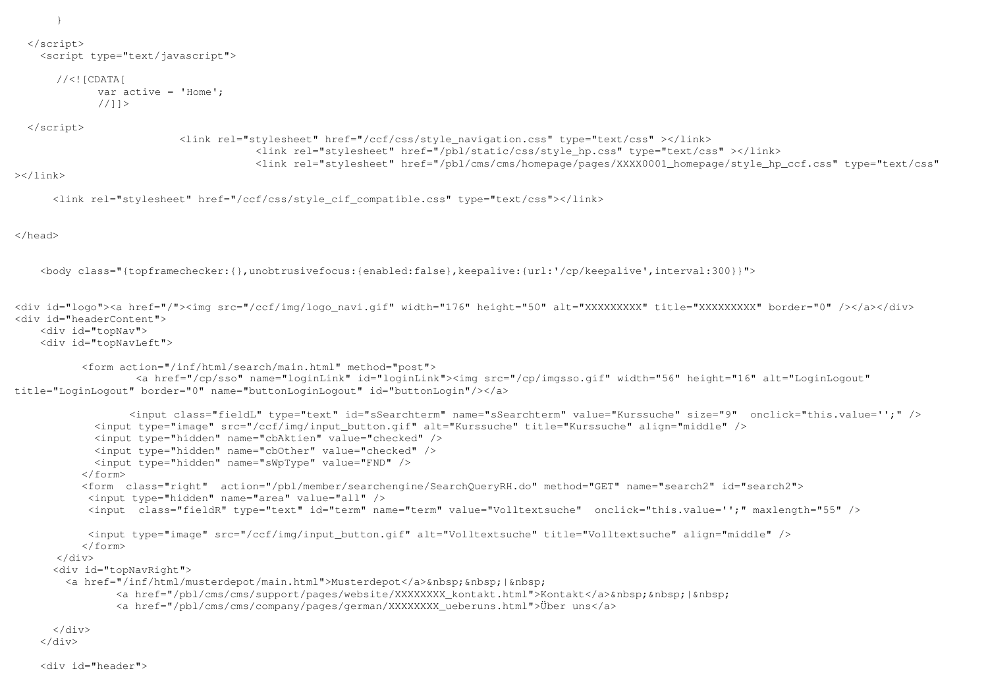}

```
 </script> 
 <script type="text/javascript">
```

```
//<![CDATA]
 var active = 'Home'; //] >
```
</script>

```
 <link rel="stylesheet" href="/ccf/css/style_navigation.css" type="text/css" ></link> 
 <link rel="stylesheet" href="/pbl/static/css/style_hp.css" type="text/css" ></link> 
 <link rel="stylesheet" href="/pbl/cms/cms/homepage/pages/XXXX0001_homepage/style_hp_ccf.css" type="text/css"
```
 $>>$ /link>

<link rel="stylesheet" href="/ccf/css/style\_cif\_compatible.css" type="text/css"></link>

</head>

<body class="{topframechecker:{},unobtrusivefocus:{enabled:false},keepalive:{url:'/cp/keepalive',interval:300}}">

```
<div id="logo"><a href="/"><img src="/ccf/img/logo_navi.gif" width="176" height="50" alt="XXXXXXXXX" title="XXXXXXXXX" border="0" /></a></div> <div id="headerContent">  <div id="topNav"> 
 <div id="topNavLeft">  <form action="/inf/html/search/main.html" method="post"> 
 <a href="/cp/sso" name="loginLink" id="loginLink"><img src="/cp/imgsso.gif" width="56" height="16" alt="LoginLogout" title="LoginLogout" border="0" name="buttonLoginLogout" id="buttonLogin"/></a>  <input class="fieldL" type="text" id="sSearchterm" name="sSearchterm" value="Kurssuche" size="9" onclick="this.value='';" />  <input type="image" src="/ccf/img/input_button.gif" alt="Kurssuche" title="Kurssuche" align="middle" />  <input type="hidden" name="cbAktien" value="checked" />  <input type="hidden" name="cbOther" value="checked" />  <input type="hidden" name="sWpType" value="FND" />  </form> 
 <form class="right" action="/pbl/member/searchengine/SearchQueryRH.do" method="GET" name="search2" id="search2">  <input type="hidden" name="area" value="all" /> 
 <input class="fieldR" type="text" id="term" name="term" value="Volltextsuche" onclick="this.value='';" maxlength="55" />  <input type="image" src="/ccf/img/input_button.gif" alt="Volltextsuche" title="Volltextsuche" align="middle" />  </form> \langlediv>

 <div id="topNavRight"> <a href="/inf/html/musterdepot/main.html">Musterdepot</a>&nbsp;&nbsp;|&nbsp;
<a href="/pbl/cms/cms/support/pages/website/XXXXXXXX_kontakt.html">Kontakt</a>&nbsp;&nbsp;|&nbsp;
                <a href="/pbl/cms/cms/company/pages/german/XXXXXXXX_ueberuns.html">Über uns</a>  </div>  </div>
```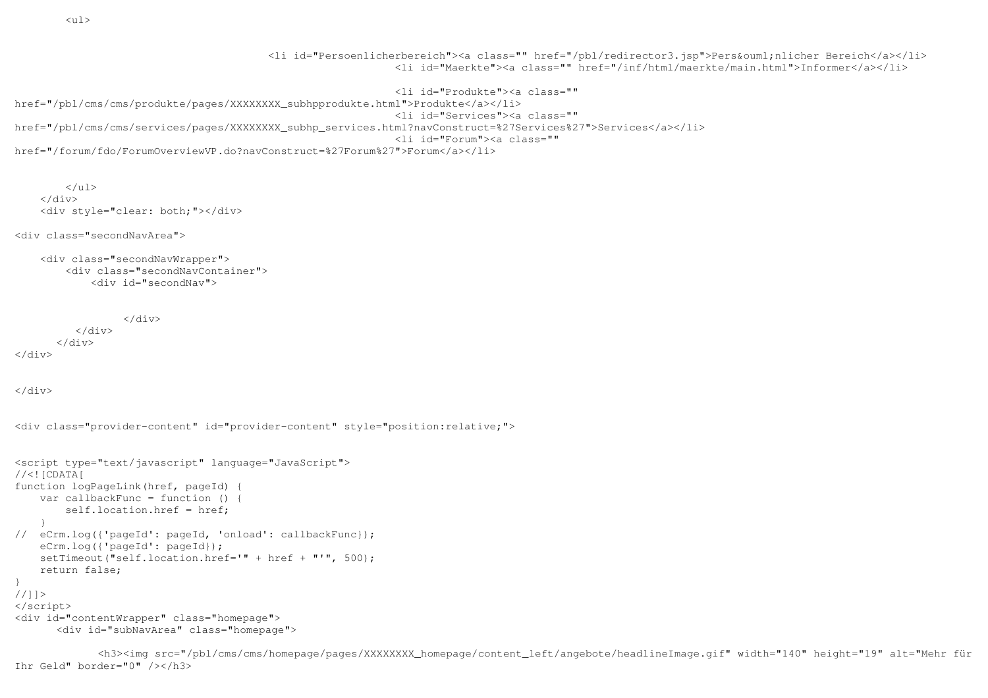<li id="Persoenlicherbereich"><a class="" href="/pbl/redirector3.jsp">Pers&ouml;nlicher Bereich</a></li> <li id="Maerkte"><a class="" href="/inf/html/maerkte/main.html">Informer</a></li>

```
 <li id="Produkte"><a class="" href="/pbl/cms/cms/produkte/pages/XXXXXXXX_subhpprodukte.html">Produkte</a></li> 
 <li id="Services"><a class="" 
href="/pbl/cms/cms/services/pages/XXXXXXXX_subhp_services.html?navConstruct=%27Services%27">Services</a></li>  <li id="Forum"><a class="" href="/forum/fdo/ForumOverviewVP.do?navConstruct=%27Forum%27">Forum</a></li>
```

```
\langle/ul>
     </div> 
 <div style="clear: both;"></div>
```
<div class="secondNavArea">

```
 <div class="secondNavWrapper"> 
 <div class="secondNavContainer">  <div id="secondNav">
```

```
 </div>  </div>  </div> </div>
```
</div>

```
<div class="provider-content" id="provider-content" style="position:relative;">
```

```
<script type="text/javascript" language="JavaScript"> //<![CDATA]
function logPageLink(href, pageId) { 
 var callbackFunc = function () {  self.location.href = href;  } 
// eCrm.log({'pageId': pageId, 'onload': callbackFunc});  eCrm.log({'pageId': pageId}); 
 setTimeout("self.location.href='" + href + "'", 500);  return false; } 
//]]> 
</script> 
<div id="contentWrapper" class="homepage"> 
 <div id="subNavArea" class="homepage">
```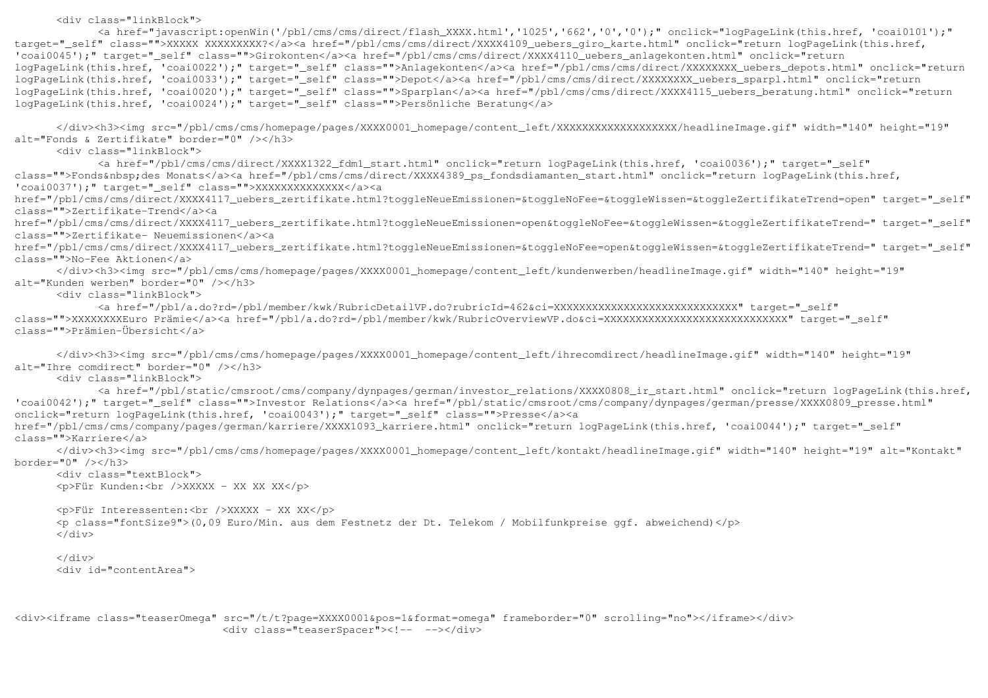<div class="linkBlock">

 <a href="javascript:openWin('/pbl/cms/cms/direct/flash\_XXXX.html','1025','662','0','0');" onclick="logPageLink(this.href, 'coai0101');" target=" self" class="">XXXXX XXXXXXXXXX?</a><a href="/pbl/cms/direct/XXXX4109 uebers giro karte.html" onclick="return logPageLink(this.href, 'coai0045');" target=" self" class="">Girokonten</a><a href="/pbl/cms/cms/direct/XXXX4110 uebers anlagekonten.html" onclick="return logPageLink(this.href, 'coai0022');" target="\_self" class="">Anlagekonten</a><a href="/pbl/cms/cms/direct/XXXXXXXX\_uebers\_depots.html" onclick="return logPageLink(this.href, 'coai0033');" target="\_self" class="">Depot</a><a href="/pbl/cms/cms/direct/XXXXXXXX\_uebers\_sparpl.html" onclick="return logPageLink(this.href, 'coai0020');" target="\_self" class="">Sparplan</a><a href="/pbl/cms/cms/direct/XXXX4115\_uebers\_beratung.html" onclick="return logPageLink(this.href, 'coai0024');" target="\_self" class="">Persönliche Beratung</a>

 </div><h3><img src="/pbl/cms/cms/homepage/pages/XXXX0001\_homepage/content\_left/XXXXXXXXXXXXXXXXXXX/headlineImage.gif" width="140" height="19" alt="Fonds & Zertifikate" border="0" /></h3>

<div class="linkBlock">

 <a href="/pbl/cms/cms/direct/XXXX1322\_fdm1\_start.html" onclick="return logPageLink(this.href, 'coai0036');" target="\_self" class="">Fonds&nbsp;des Monats</a><a href="/pbl/cms/cms/direct/XXXX4389\_ps\_fondsdiamanten\_start.html" onclick="return logPageLink(this.href, 'coai0037');" target="\_self" class="">XXXXXXXXXXXXXX</a><a

 href="/pbl/cms/cms/direct/XXXX4117\_uebers\_zertifikate.html?toggleNeueEmissionen=&toggleNoFee=&toggleWissen=&toggleZertifikateTrend=open" target="\_self" class="">Zertifikate-Trend</a><a

 href="/pbl/cms/cms/direct/XXXX4117\_uebers\_zertifikate.html?toggleNeueEmissionen=open&toggleNoFee=&toggleWissen=&toggleZertifikateTrend=" target="\_self" class="">Zertifikate- Neuemissionen</a><a

 href="/pbl/cms/cms/direct/XXXX4117\_uebers\_zertifikate.html?toggleNeueEmissionen=&toggleNoFee=open&toggleWissen=&toggleZertifikateTrend=" target="\_self" class="">No-Fee Aktionen</a>

 </div><h3><img src="/pbl/cms/cms/homepage/pages/XXXX0001\_homepage/content\_left/kundenwerben/headlineImage.gif" width="140" height="19" alt="Kunden werben" border="0" /></h3>

<div class="linkBlock">

 <a href="/pbl/a.do?rd=/pbl/member/kwk/RubricDetailVP.do?rubricId=462&ci=XXXXXXXXXXXXXXXXXXXXXXXXXXXXX" target="\_self" class="">XXXXXXXXEuro Prämie</a><a href="/pbl/a.do?rd=/pbl/member/kwk/RubricOverviewVP.do&ci=XXXXXXXXXXXXXXXXXXXXXXXXXXXXX" target="\_self" class="">Prämien-Übersicht</a>

 </div><h3><img src="/pbl/cms/cms/homepage/pages/XXXX0001\_homepage/content\_left/ihrecomdirect/headlineImage.gif" width="140" height="19" alt="Ihre comdirect" border="0" /></h3>

<div class="linkBlock">

 <a href="/pbl/static/cmsroot/cms/company/dynpages/german/investor\_relations/XXXX0808\_ir\_start.html" onclick="return logPageLink(this.href, 'coai0042');" target="\_self" class="">Investor Relations</a><a href="/pbl/static/cmsroot/cms/company/dynpages/german/presse/XXXX0809\_presse.html" onclick="return logPageLink(this.href, 'coai0043');" target="\_self" class="">Presse</a><a

 href="/pbl/cms/cms/company/pages/german/karriere/XXXX1093\_karriere.html" onclick="return logPageLink(this.href, 'coai0044');" target="\_self" class="">Karriere</a>

 </div><h3><img src="/pbl/cms/cms/homepage/pages/XXXX0001\_homepage/content\_left/kontakt/headlineImage.gif" width="140" height="19" alt="Kontakt" border="0" /></h3>

 <div class="textBlock"> <p>Für Kunden:<br />XXXXX - XX XX XX</p>

 <p>Für Interessenten:<br />XXXXX - XX XX</p> <p class="fontSize9">(0,09 Euro/Min. aus dem Festnetz der Dt. Telekom / Mobilfunkpreise ggf. abweichend)</p> </div>

 $\langle$ div $\rangle$ <div id="contentArea">

<div><iframe class="teaserOmega" src="/t/t?page=XXXX0001&pos=1&format=omega" frameborder="0" scrolling="no"></iframe></div> <div class="teaserSpacer"><!-- --></div>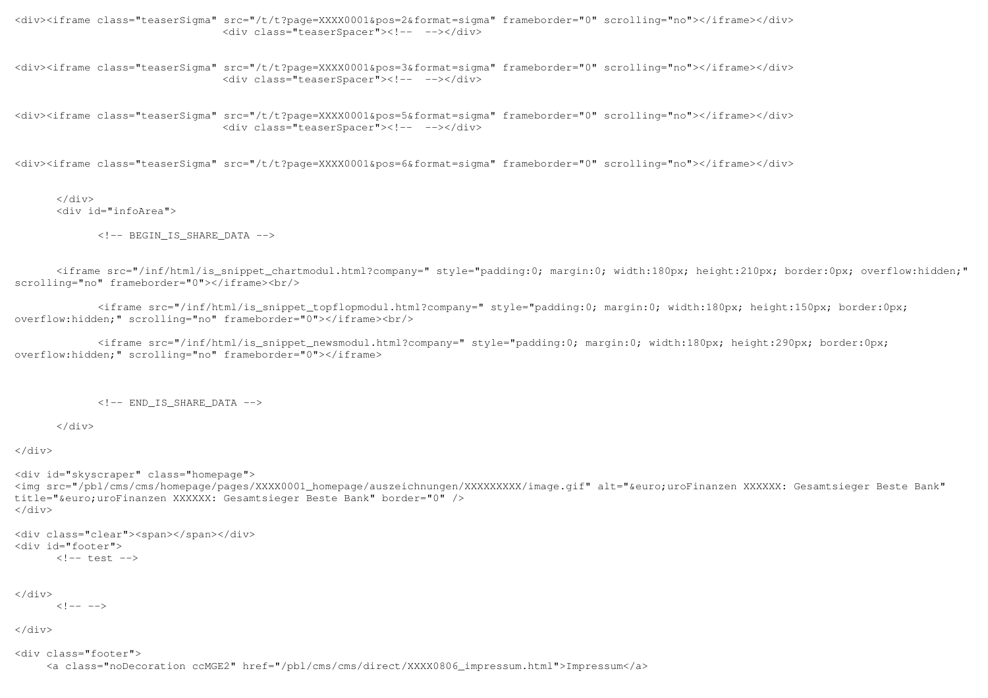<div><iframe class="teaserSigma" src="/t/t?page=XXXX0001&pos=2&format=sigma" frameborder="0" scrolling="no"></iframe></div> <div class="teaserSpacer"><!-- --></div>

<div><iframe class="teaserSigma" src="/t/t?page=XXXX0001&pos=3&format=sigma" frameborder="0" scrolling="no"></iframe></div> <div class="teaserSpacer"><!-- --></div>

<div><iframe class="teaserSigma" src="/t/t?page=XXXX0001&pos=5&format=sigma" frameborder="0" scrolling="no"></iframe></div> <div class="teaserSpacer"><!-- --></div>

<div><iframe class="teaserSigma" src="/t/t?page=XXXX0001&pos=6&format=sigma" frameborder="0" scrolling="no"></iframe></div>

 </div> <div id="infoArea">

 $\langle$ !-- BEGIN IS SHARE DATA  $\langle$ ->

 <iframe src="/inf/html/is\_snippet\_chartmodul.html?company=" style="padding:0; margin:0; width:180px; height:210px; border:0px; overflow:hidden;" scrolling="no" frameborder="0"></iframe><br/>

 <iframe src="/inf/html/is\_snippet\_topflopmodul.html?company=" style="padding:0; margin:0; width:180px; height:150px; border:0px; overflow:hidden;" scrolling="no" frameborder="0"></iframe><br/>>br/>

 <iframe src="/inf/html/is\_snippet\_newsmodul.html?company=" style="padding:0; margin:0; width:180px; height:290px; border:0px; overflow:hidden;" scrolling="no" frameborder="0"></iframe>

 $\langle$ !--  $END$  IS SHARE DATA -->

</div>

</div>

<div id="skyscraper" class="homepage">

 <img src="/pbl/cms/cms/homepage/pages/XXXX0001\_homepage/auszeichnungen/XXXXXXXXX/image.gif" alt="&euro;uroFinanzen XXXXXX: Gesamtsieger Beste Bank" title="€ uroFinanzen XXXXXX: Gesamtsieger Beste Bank" border="0" /> </div>

```
<div class="clear"><span></span></div> <div id="footer"> 
 <!-- test -->
```

```
</div>
```
 $\langle \cdot | - - - - \rangle$ 

</div>

<div class="footer">

<a class="noDecoration ccMGE2" href="/pbl/cms/cms/direct/XXXX0806\_impressum.html">Impressum</a>